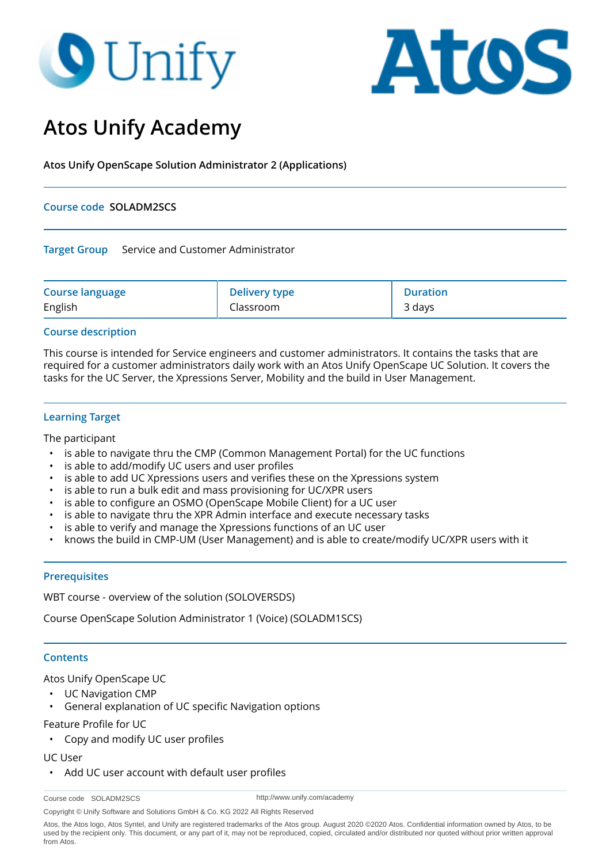# **O** Unify



# **Atos Unify Academy**

**Atos Unify OpenScape Solution Administrator 2 (Applications)**

### **Course code SOLADM2SCS**

#### **Target Group** Service and Customer Administrator

| <b>Course language</b> | <b>Delivery type</b> | <b>Duration</b> |
|------------------------|----------------------|-----------------|
| English                | Classroom            | 3 days          |

# **Course description**

This course is intended for Service engineers and customer administrators. It contains the tasks that are required for a customer administrators daily work with an Atos Unify OpenScape UC Solution. It covers the tasks for the UC Server, the Xpressions Server, Mobility and the build in User Management.

# **Learning Target**

The participant

- is able to navigate thru the CMP (Common Management Portal) for the UC functions
- is able to add/modify UC users and user profiles
- is able to add UC Xpressions users and verifies these on the Xpressions system
- is able to run a bulk edit and mass provisioning for UC/XPR users
- is able to configure an OSMO (OpenScape Mobile Client) for a UC user
- is able to navigate thru the XPR Admin interface and execute necessary tasks
- is able to verify and manage the Xpressions functions of an UC user
- knows the build in CMP-UM (User Management) and is able to create/modify UC/XPR users with it

#### **Prerequisites**

WBT course - overview of the solution (SOLOVERSDS)

Course OpenScape Solution Administrator 1 (Voice) (SOLADM1SCS)

#### **Contents**

#### Atos Unify OpenScape UC

- UC Navigation CMP
- General explanation of UC specific Navigation options

#### Feature Profile for UC

• Copy and modify UC user profiles

#### UC User

• Add UC user account with default user profiles

```
Course code SOLADM2SCS
```
http://www.unify.com/academy

Copyright © Unify Software and Solutions GmbH & Co. KG 2022 All Rights Reserved

Atos, the Atos logo, Atos Syntel, and Unify are registered trademarks of the Atos group. August 2020 ©2020 Atos. Confidential information owned by Atos, to be used by the recipient only. This document, or any part of it, may not be reproduced, copied, circulated and/or distributed nor quoted without prior written approval from Atos.